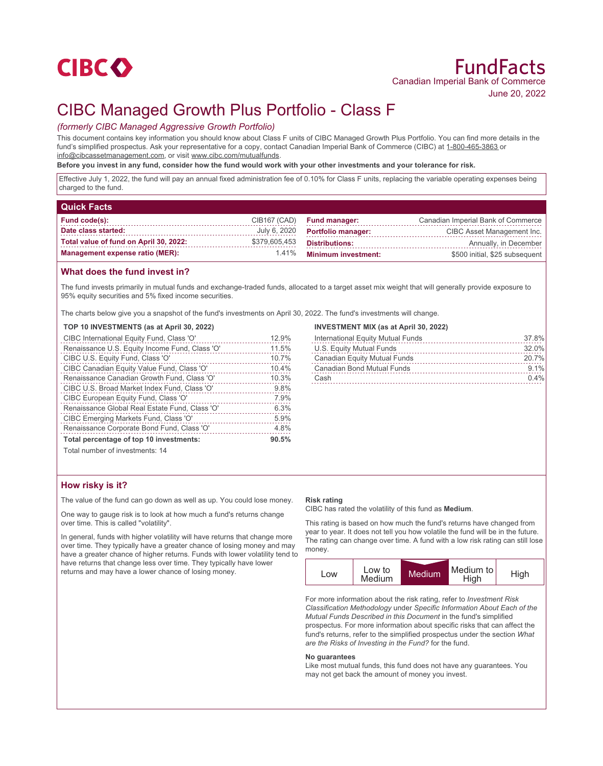

# CIBC Managed Growth Plus Portfolio - Class F

# *(formerly CIBC Managed Aggressive Growth Portfolio)*

This document contains key information you should know about Class F units of CIBC Managed Growth Plus Portfolio. You can find more details in the fund's simplified prospectus. Ask your representative for a copy, contact Canadian Imperial Bank of Commerce (CIBC) at 1-800-465-3863 or info@cibcassetmanagement.com, or visit www.cibc.com/mutualfunds.

#### **Before you invest in any fund, consider how the fund would work with your other investments and your tolerance for risk.**

Effective July 1, 2022, the fund will pay an annual fixed administration fee of 0.10% for Class F units, replacing the variable operating expenses being charged to the fund.

# **Quick Facts**

| Fund code(s):                          |               | CIB167 (CAD) Fund manager:       | Canadian Imperial Bank of Commerce |
|----------------------------------------|---------------|----------------------------------|------------------------------------|
| Date class started:                    |               | July 6, 2020  Portfolio manager: | CIBC Asset Management Inc.         |
| Total value of fund on April 30, 2022: | \$379,605,453 | <b>Distributions:</b>            | Annually, in December              |
| <b>Management expense ratio (MER):</b> |               | 1.41% Minimum investment:        | \$500 initial, \$25 subsequent     |

## **What does the fund invest in?**

The fund invests primarily in mutual funds and exchange-traded funds, allocated to a target asset mix weight that will generally provide exposure to 95% equity securities and 5% fixed income securities.

The charts below give you a snapshot of the fund's investments on April 30, 2022. The fund's investments will change.

#### **TOP 10 INVESTMENTS (as at April 30, 2022)**

| CIBC International Equity Fund, Class 'O'      | 12.9% |
|------------------------------------------------|-------|
| Renaissance U.S. Equity Income Fund, Class 'O' | 11.5% |
| CIBC U.S. Equity Fund, Class 'O'               | 10.7% |
| CIBC Canadian Equity Value Fund, Class 'O'     | 10.4% |
| Renaissance Canadian Growth Fund, Class 'O'    | 10.3% |
| CIBC U.S. Broad Market Index Fund, Class 'O'   | 9.8%  |
| CIBC European Equity Fund, Class 'O'           | 7.9%  |
| Renaissance Global Real Estate Fund, Class 'O' | 6.3%  |
| CIBC Emerging Markets Fund, Class 'O'          | 5.9%  |
| Renaissance Corporate Bond Fund, Class 'O'     | 4.8%  |
| Total percentage of top 10 investments:        | 90.5% |

#### **INVESTMENT MIX (as at April 30, 2022)**

| International Equity Mutual Funds | 37.8%   |
|-----------------------------------|---------|
| U.S. Equity Mutual Funds          | 32.0%   |
| Canadian Equity Mutual Funds      | 20.7%   |
| Canadian Bond Mutual Funds        | $9.1\%$ |
| Cash                              | $0.4\%$ |

Total number of investments: 14

## **How risky is it?**

The value of the fund can go down as well as up. You could lose money.

One way to gauge risk is to look at how much a fund's returns change over time. This is called "volatility".

In general, funds with higher volatility will have returns that change more over time. They typically have a greater chance of losing money and may have a greater chance of higher returns. Funds with lower volatility tend to have returns that change less over time. They typically have lower returns and may have a lower chance of losing money.

#### **Risk rating**

CIBC has rated the volatility of this fund as **Medium**.

This rating is based on how much the fund's returns have changed from year to year. It does not tell you how volatile the fund will be in the future. The rating can change over time. A fund with a low risk rating can still lose money.



For more information about the risk rating, refer to *Investment Risk Classification Methodology* under *Specific Information About Each of the Mutual Funds Described in this Document* in the fund's simplified prospectus. For more information about specific risks that can affect the fund's returns, refer to the simplified prospectus under the section *What are the Risks of Investing in the Fund?* for the fund.

#### **No guarantees**

Like most mutual funds, this fund does not have any guarantees. You may not get back the amount of money you invest.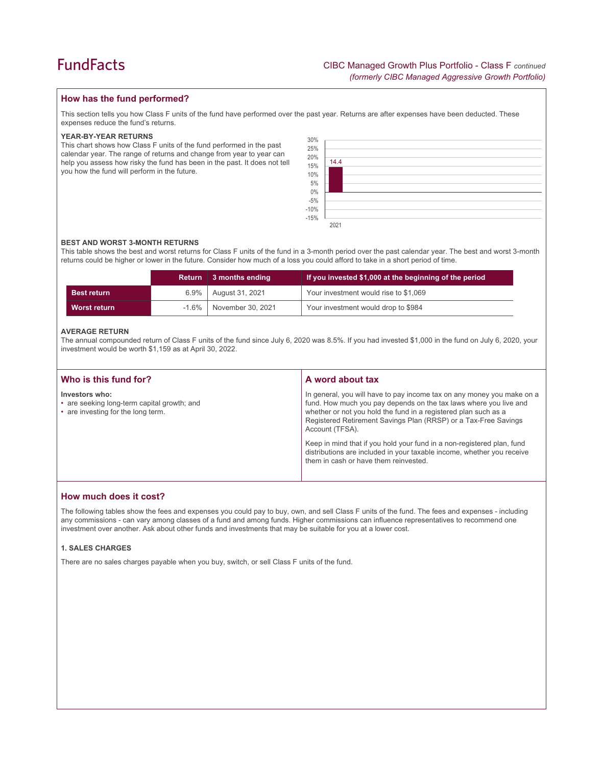# **How has the fund performed?**

This section tells you how Class F units of the fund have performed over the past year. Returns are after expenses have been deducted. These expenses reduce the fund's returns.

#### **YEAR-BY-YEAR RETURNS**

This chart shows how Class F units of the fund performed in the past calendar year. The range of returns and change from year to year can help you assess how risky the fund has been in the past. It does not tell you how the fund will perform in the future.

| 30%                  |  |  |
|----------------------|--|--|
|                      |  |  |
| 25%<br>20%           |  |  |
| 14.4<br>15%          |  |  |
| $10\%$<br>5%         |  |  |
|                      |  |  |
| $0\%$<br>-5%<br>-10% |  |  |
|                      |  |  |
| $-15%$               |  |  |
| 2021                 |  |  |

## **BEST AND WORST 3-MONTH RETURNS**

This table shows the best and worst returns for Class F units of the fund in a 3-month period over the past calendar year. The best and worst 3-month returns could be higher or lower in the future. Consider how much of a loss you could afford to take in a short period of time.

|                     |          | Return 3 months ending | If you invested \$1,000 at the beginning of the period |
|---------------------|----------|------------------------|--------------------------------------------------------|
| <b>Best return</b>  | $6.9\%$  | August 31, 2021        | Your investment would rise to \$1,069                  |
| <b>Worst return</b> | $-1.6\%$ | November 30, 2021      | Your investment would drop to \$984                    |

#### **AVERAGE RETURN**

The annual compounded return of Class F units of the fund since July 6, 2020 was 8.5%. If you had invested \$1,000 in the fund on July 6, 2020, your investment would be worth \$1,159 as at April 30, 2022.

| Who is this fund for?                                                                               | A word about tax                                                                                                                                                                                                                                                                                     |  |
|-----------------------------------------------------------------------------------------------------|------------------------------------------------------------------------------------------------------------------------------------------------------------------------------------------------------------------------------------------------------------------------------------------------------|--|
| Investors who:<br>• are seeking long-term capital growth; and<br>• are investing for the long term. | In general, you will have to pay income tax on any money you make on a<br>fund. How much you pay depends on the tax laws where you live and<br>whether or not you hold the fund in a registered plan such as a<br>Registered Retirement Savings Plan (RRSP) or a Tax-Free Savings<br>Account (TFSA). |  |
|                                                                                                     | Keep in mind that if you hold your fund in a non-registered plan, fund<br>distributions are included in your taxable income, whether you receive<br>them in cash or have them reinvested.                                                                                                            |  |

## **How much does it cost?**

The following tables show the fees and expenses you could pay to buy, own, and sell Class F units of the fund. The fees and expenses - including any commissions - can vary among classes of a fund and among funds. Higher commissions can influence representatives to recommend one investment over another. Ask about other funds and investments that may be suitable for you at a lower cost.

### **1. SALES CHARGES**

There are no sales charges payable when you buy, switch, or sell Class F units of the fund.